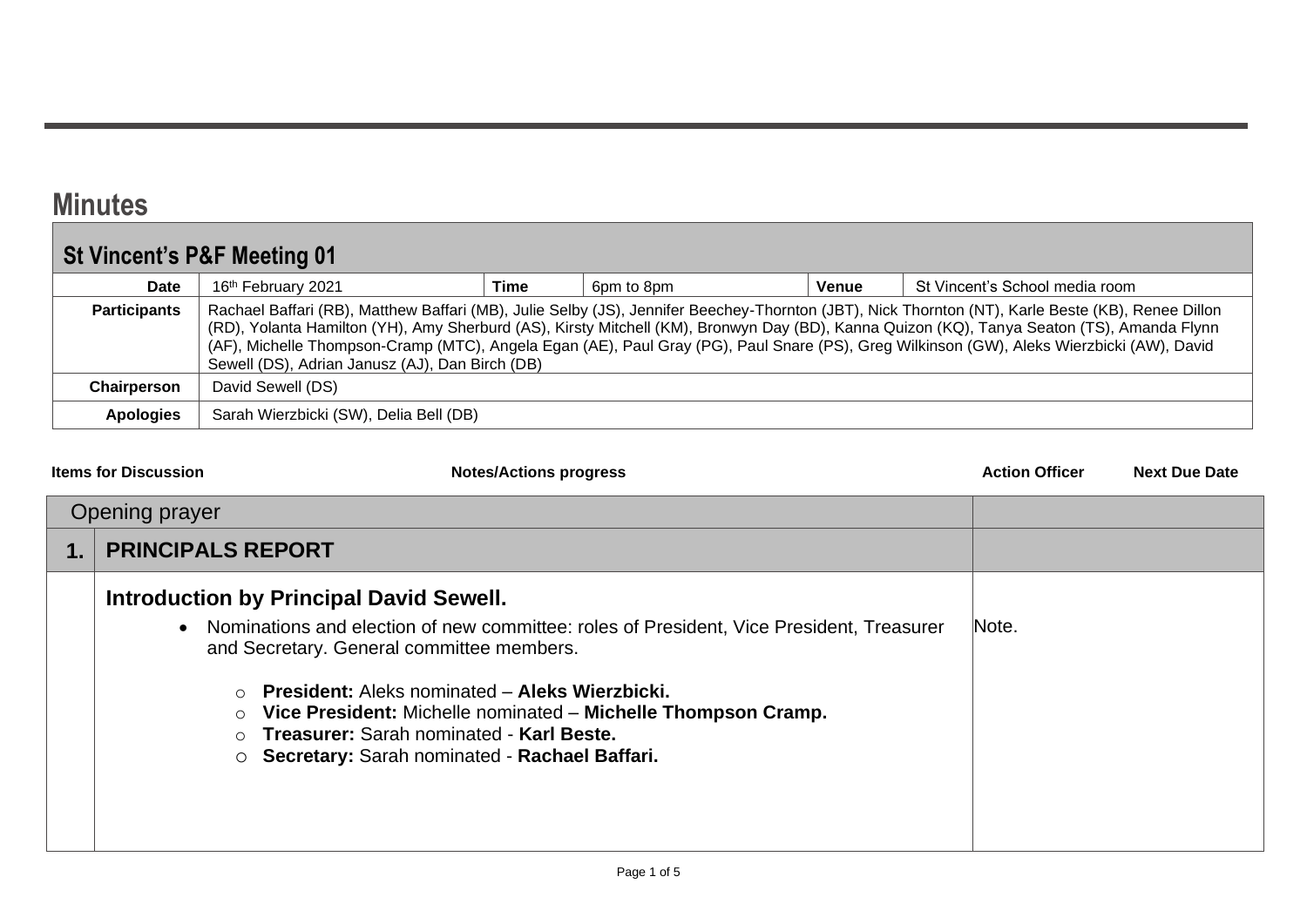## **Minutes**

## **St Vincent's P&F Meeting 01**

| <b>Date</b>         | 16 <sup>th</sup> February 2021                                                                                                                                                                                                                                                                                                                                                                                                                                                                                       | Time | 6pm to 8pm | <b>Venue</b> | St Vincent's School media room |
|---------------------|----------------------------------------------------------------------------------------------------------------------------------------------------------------------------------------------------------------------------------------------------------------------------------------------------------------------------------------------------------------------------------------------------------------------------------------------------------------------------------------------------------------------|------|------------|--------------|--------------------------------|
| <b>Participants</b> | Rachael Baffari (RB), Matthew Baffari (MB), Julie Selby (JS), Jennifer Beechey-Thornton (JBT), Nick Thornton (NT), Karle Beste (KB), Renee Dillon<br>(RD), Yolanta Hamilton (YH), Amy Sherburd (AS), Kirsty Mitchell (KM), Bronwyn Day (BD), Kanna Quizon (KQ), Tanya Seaton (TS), Amanda Flynn<br>(AF), Michelle Thompson-Cramp (MTC), Angela Egan (AE), Paul Gray (PG), Paul Snare (PS), Greg Wilkinson (GW), Aleks Wierzbicki (AW), David<br>Sewell (DS), Adrian Janusz (AJ), Dan Birch (DB)<br>David Sewell (DS) |      |            |              |                                |
| <b>Chairperson</b>  |                                                                                                                                                                                                                                                                                                                                                                                                                                                                                                                      |      |            |              |                                |
| <b>Apologies</b>    | Sarah Wierzbicki (SW), Delia Bell (DB)                                                                                                                                                                                                                                                                                                                                                                                                                                                                               |      |            |              |                                |

| <b>Items for Discussion</b><br><b>Notes/Actions progress</b> |                                                                                                                                                                                                                                                                                                                                                                                                                              | <b>Action Officer</b> | <b>Next Due Date</b> |
|--------------------------------------------------------------|------------------------------------------------------------------------------------------------------------------------------------------------------------------------------------------------------------------------------------------------------------------------------------------------------------------------------------------------------------------------------------------------------------------------------|-----------------------|----------------------|
| Opening prayer                                               |                                                                                                                                                                                                                                                                                                                                                                                                                              |                       |                      |
| <b>PRINCIPALS REPORT</b>                                     |                                                                                                                                                                                                                                                                                                                                                                                                                              |                       |                      |
| $\circ$                                                      | <b>Introduction by Principal David Sewell.</b><br>• Nominations and election of new committee: roles of President, Vice President, Treasurer<br>and Secretary. General committee members.<br><b>President: Aleks nominated - Aleks Wierzbicki.</b><br>$\circ$ Vice President: Michelle nominated – Michelle Thompson Cramp.<br>○ Treasurer: Sarah nominated - Karl Beste.<br>○ Secretary: Sarah nominated - Rachael Baffari. | Note.                 |                      |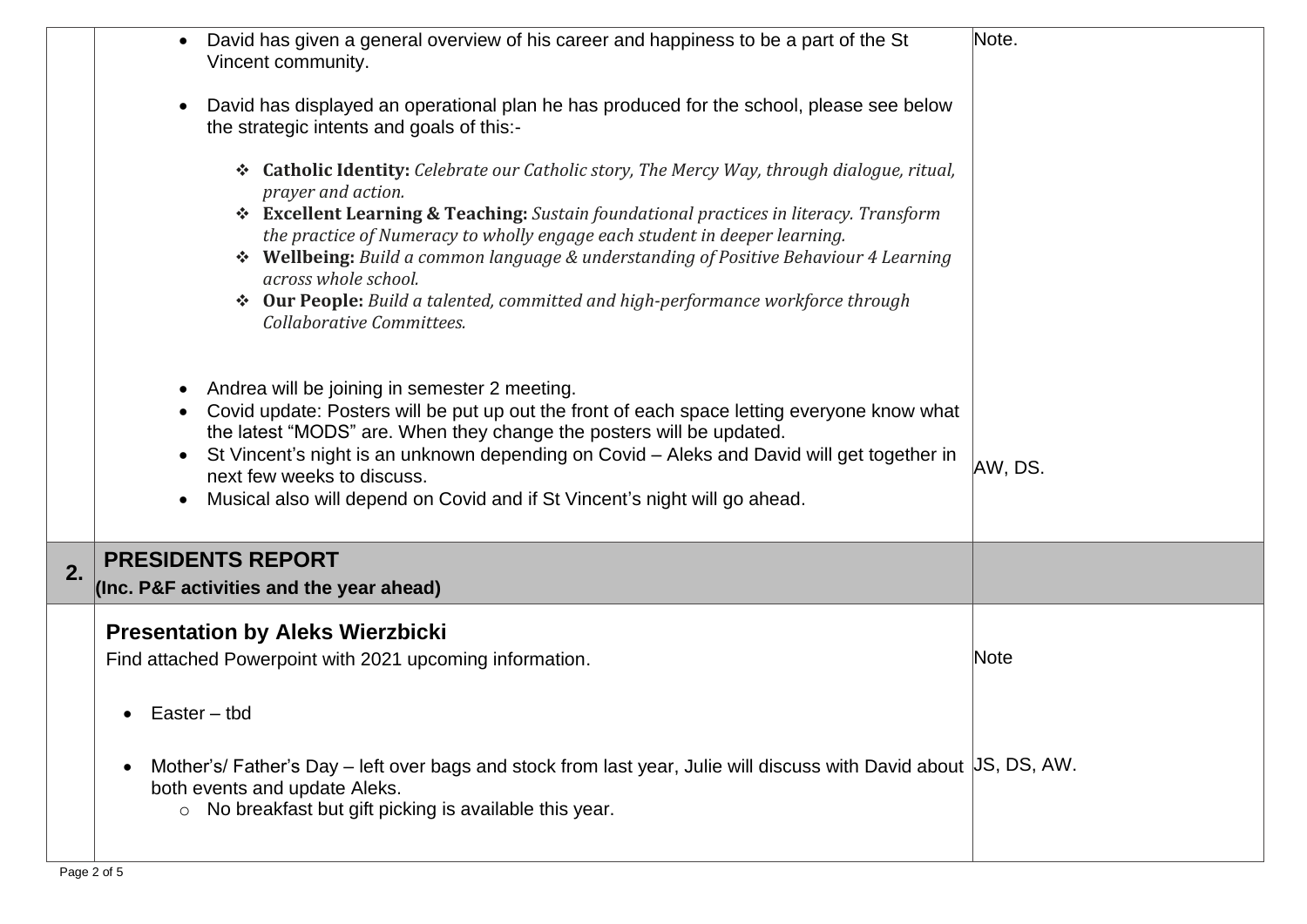|    | David has given a general overview of his career and happiness to be a part of the St<br>Vincent community.                                                                                                                                                                                                                                                                                                                    | Note.   |
|----|--------------------------------------------------------------------------------------------------------------------------------------------------------------------------------------------------------------------------------------------------------------------------------------------------------------------------------------------------------------------------------------------------------------------------------|---------|
|    | David has displayed an operational plan he has produced for the school, please see below<br>the strategic intents and goals of this:-                                                                                                                                                                                                                                                                                          |         |
|    | ❖ Catholic Identity: Celebrate our Catholic story, The Mercy Way, through dialogue, ritual,<br>prayer and action.<br>* Excellent Learning & Teaching: Sustain foundational practices in literacy. Transform                                                                                                                                                                                                                    |         |
|    | the practice of Numeracy to wholly engage each student in deeper learning.<br>* Wellbeing: Build a common language & understanding of Positive Behaviour 4 Learning<br>across whole school.                                                                                                                                                                                                                                    |         |
|    | ❖ Our People: Build a talented, committed and high-performance workforce through<br>Collaborative Committees.                                                                                                                                                                                                                                                                                                                  |         |
|    | Andrea will be joining in semester 2 meeting.<br>Covid update: Posters will be put up out the front of each space letting everyone know what<br>the latest "MODS" are. When they change the posters will be updated.<br>St Vincent's night is an unknown depending on Covid - Aleks and David will get together in<br>next few weeks to discuss.<br>Musical also will depend on Covid and if St Vincent's night will go ahead. | AW, DS. |
|    | <b>PRESIDENTS REPORT</b>                                                                                                                                                                                                                                                                                                                                                                                                       |         |
| 2. | (Inc. P&F activities and the year ahead)                                                                                                                                                                                                                                                                                                                                                                                       |         |
|    | <b>Presentation by Aleks Wierzbicki</b><br>Find attached Powerpoint with 2021 upcoming information.                                                                                                                                                                                                                                                                                                                            | Note    |
|    | Easter – tbd                                                                                                                                                                                                                                                                                                                                                                                                                   |         |
|    | Mother's/ Father's Day – left over bags and stock from last year, Julie will discuss with David about $ JS, DS, AW$ .<br>$\bullet$<br>both events and update Aleks.<br>o No breakfast but gift picking is available this year.                                                                                                                                                                                                 |         |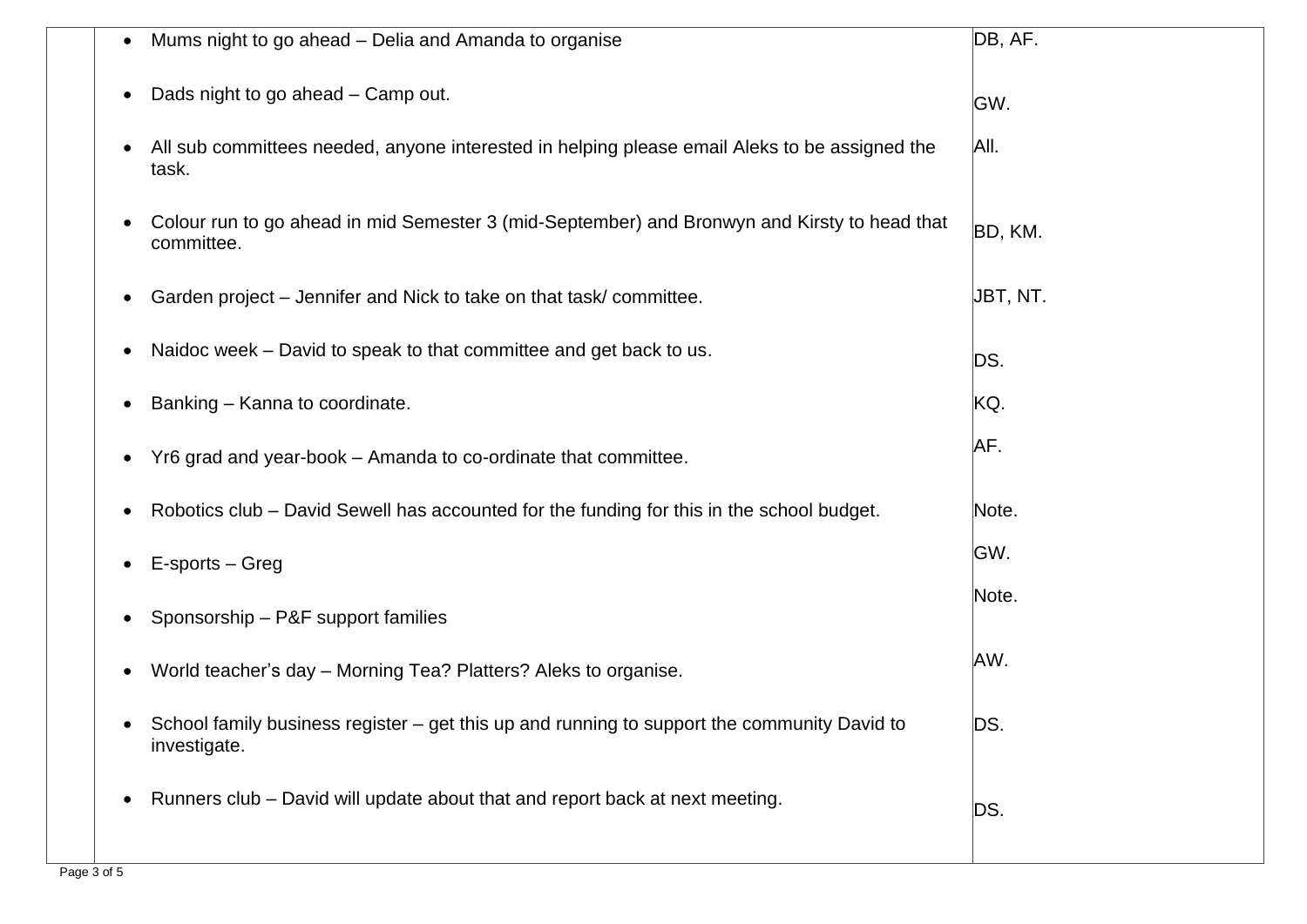| Mums night to go ahead - Delia and Amanda to organise                                                       | DB, AF.  |
|-------------------------------------------------------------------------------------------------------------|----------|
| Dads night to go ahead - Camp out.                                                                          | GW.      |
| All sub committees needed, anyone interested in helping please email Aleks to be assigned the<br>task.      | AII.     |
| Colour run to go ahead in mid Semester 3 (mid-September) and Bronwyn and Kirsty to head that<br>committee.  | BD, KM.  |
| Garden project – Jennifer and Nick to take on that task/committee.                                          | JBT, NT. |
| Naidoc week - David to speak to that committee and get back to us.                                          | DS.      |
| Banking - Kanna to coordinate.                                                                              | KQ.      |
| Yr6 grad and year-book - Amanda to co-ordinate that committee.                                              | AF.      |
| Robotics club – David Sewell has accounted for the funding for this in the school budget.                   | Note.    |
| E-sports – Greg                                                                                             | GW.      |
| Sponsorship - P&F support families                                                                          | Note.    |
| World teacher's day - Morning Tea? Platters? Aleks to organise.                                             | AW.      |
| School family business register – get this up and running to support the community David to<br>investigate. | DS.      |
| Runners club - David will update about that and report back at next meeting.                                | DS.      |
|                                                                                                             |          |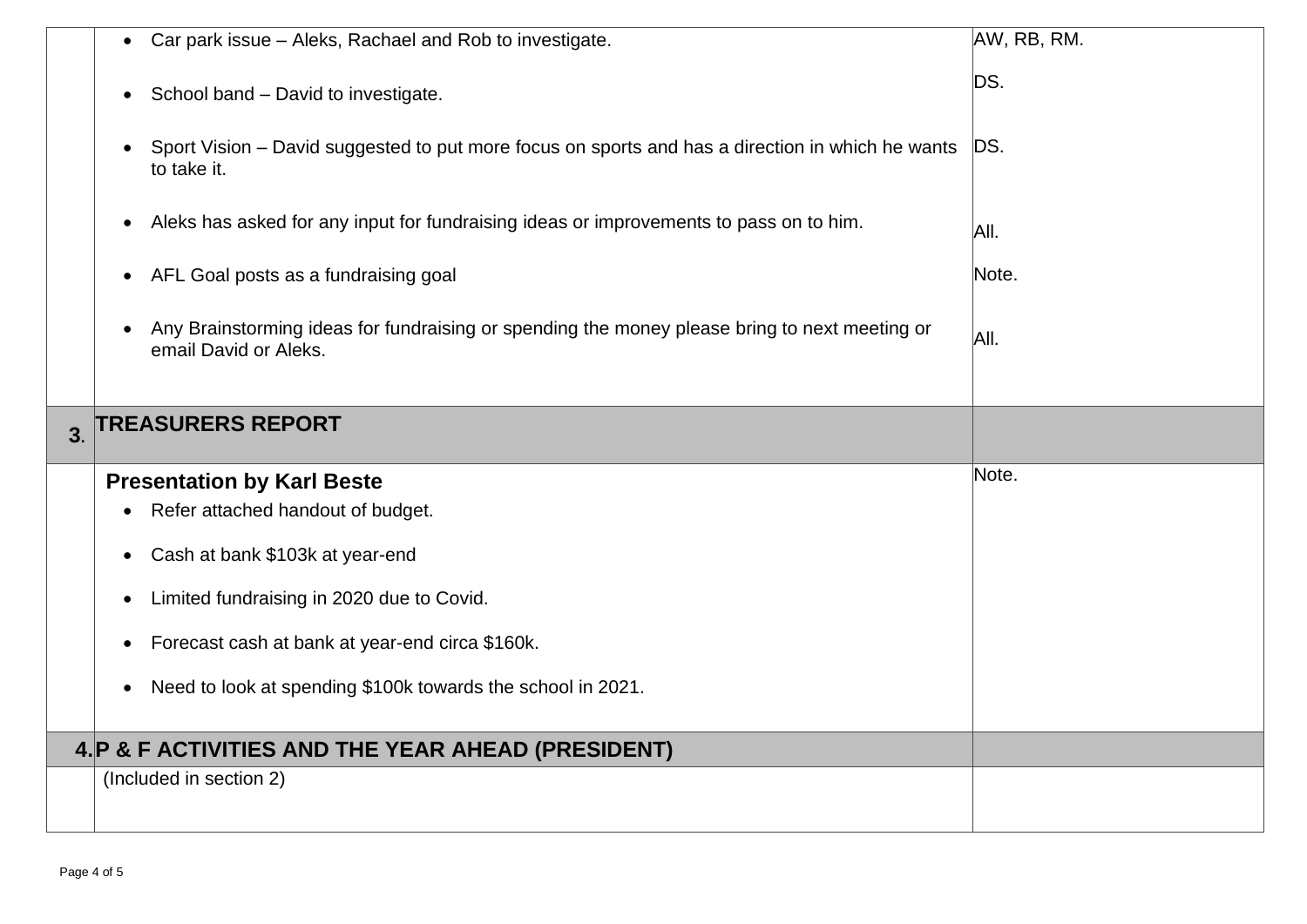|                | Car park issue - Aleks, Rachael and Rob to investigate.<br>$\bullet$                                                   | AW, RB, RM. |
|----------------|------------------------------------------------------------------------------------------------------------------------|-------------|
|                | School band - David to investigate.<br>$\bullet$                                                                       | DS.         |
|                | Sport Vision – David suggested to put more focus on sports and has a direction in which he wants<br>to take it.        | DS.         |
|                | Aleks has asked for any input for fundraising ideas or improvements to pass on to him.                                 | AII.        |
|                | AFL Goal posts as a fundraising goal                                                                                   | Note.       |
|                | Any Brainstorming ideas for fundraising or spending the money please bring to next meeting or<br>email David or Aleks. | AII.        |
| 3 <sub>l</sub> | <b>TREASURERS REPORT</b>                                                                                               |             |
|                | <b>Presentation by Karl Beste</b>                                                                                      | Note.       |
|                | Refer attached handout of budget.                                                                                      |             |
|                | Cash at bank \$103k at year-end                                                                                        |             |
|                | Limited fundraising in 2020 due to Covid.                                                                              |             |
|                | Forecast cash at bank at year-end circa \$160k.                                                                        |             |
|                | Need to look at spending \$100k towards the school in 2021.                                                            |             |
|                | 4. P & F ACTIVITIES AND THE YEAR AHEAD (PRESIDENT)                                                                     |             |
|                | (Included in section 2)                                                                                                |             |
|                |                                                                                                                        |             |